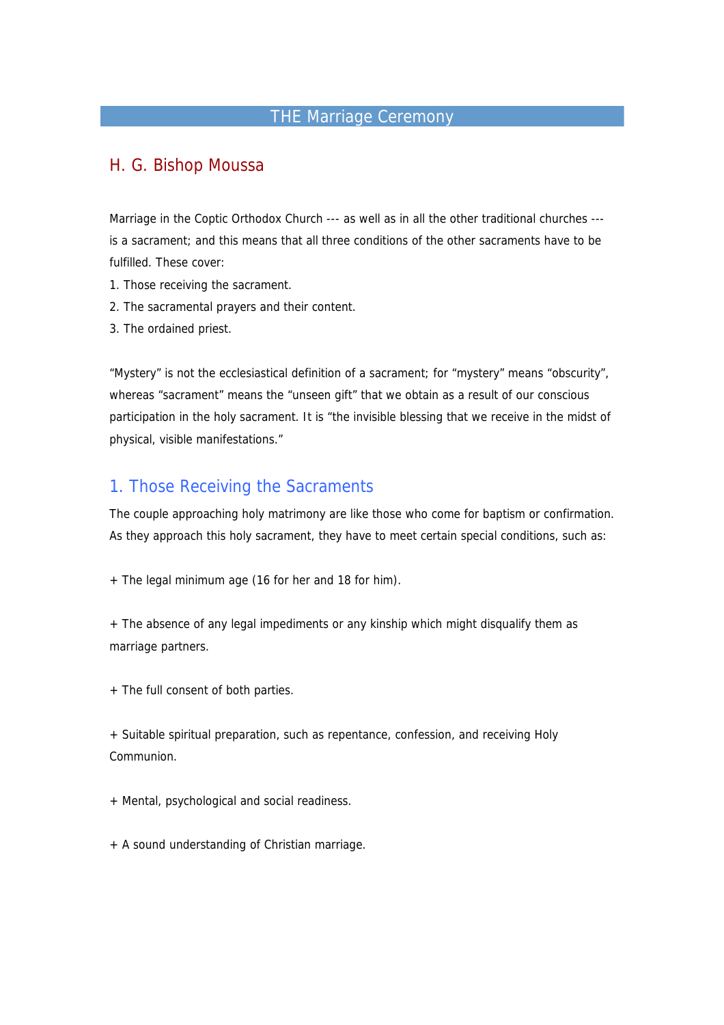# THE Marriage Ceremony

## H. G. Bishop Moussa

Marriage in the Coptic Orthodox Church --- as well as in all the other traditional churches --is a sacrament; and this means that all three conditions of the other sacraments have to be fulfilled. These cover:

- 1. Those receiving the sacrament.
- 2. The sacramental prayers and their content.
- 3. The ordained priest.

"Mystery" is not the ecclesiastical definition of a sacrament; for "mystery" means "obscurity", whereas "sacrament" means the "unseen gift" that we obtain as a result of our conscious participation in the holy sacrament. It is "the invisible blessing that we receive in the midst of physical, visible manifestations."

#### 1. Those Receiving the Sacraments

The couple approaching holy matrimony are like those who come for baptism or confirmation. As they approach this holy sacrament, they have to meet certain special conditions, such as:

+ The legal minimum age (16 for her and 18 for him).

+ The absence of any legal impediments or any kinship which might disqualify them as marriage partners.

+ The full consent of both parties.

+ Suitable spiritual preparation, such as repentance, confession, and receiving Holy Communion.

+ Mental, psychological and social readiness.

+ A sound understanding of Christian marriage.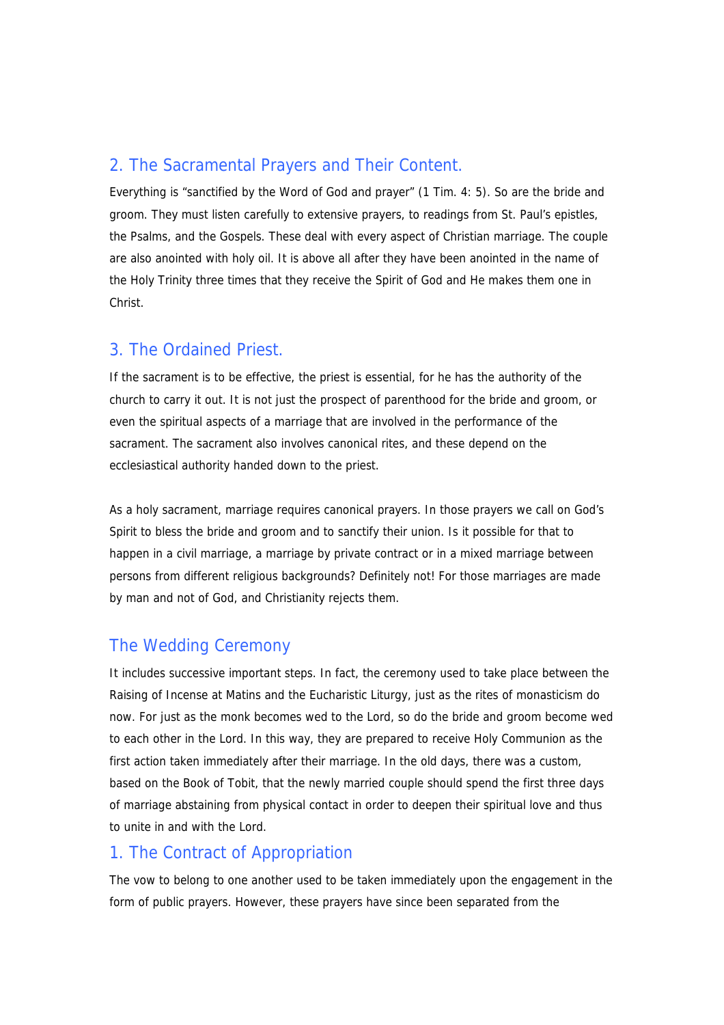## 2. The Sacramental Prayers and Their Content.

Everything is "sanctified by the Word of God and prayer" (1 Tim. 4: 5). So are the bride and groom. They must listen carefully to extensive prayers, to readings from St. Paul's epistles, the Psalms, and the Gospels. These deal with every aspect of Christian marriage. The couple are also anointed with holy oil. It is above all after they have been anointed in the name of the Holy Trinity three times that they receive the Spirit of God and He makes them one in Christ.

#### 3. The Ordained Priest.

If the sacrament is to be effective, the priest is essential, for he has the authority of the church to carry it out. It is not just the prospect of parenthood for the bride and groom, or even the spiritual aspects of a marriage that are involved in the performance of the sacrament. The sacrament also involves canonical rites, and these depend on the ecclesiastical authority handed down to the priest.

As a holy sacrament, marriage requires canonical prayers. In those prayers we call on God's Spirit to bless the bride and groom and to sanctify their union. Is it possible for that to happen in a civil marriage, a marriage by private contract or in a mixed marriage between persons from different religious backgrounds? Definitely not! For those marriages are made by man and not of God, and Christianity rejects them.

# The Wedding Ceremony

It includes successive important steps. In fact, the ceremony used to take place between the Raising of Incense at Matins and the Eucharistic Liturgy, just as the rites of monasticism do now. For just as the monk becomes wed to the Lord, so do the bride and groom become wed to each other in the Lord. In this way, they are prepared to receive Holy Communion as the first action taken immediately after their marriage. In the old days, there was a custom, based on the Book of Tobit, that the newly married couple should spend the first three days of marriage abstaining from physical contact in order to deepen their spiritual love and thus to unite in and with the Lord.

#### 1. The Contract of Appropriation

The vow to belong to one another used to be taken immediately upon the engagement in the form of public prayers. However, these prayers have since been separated from the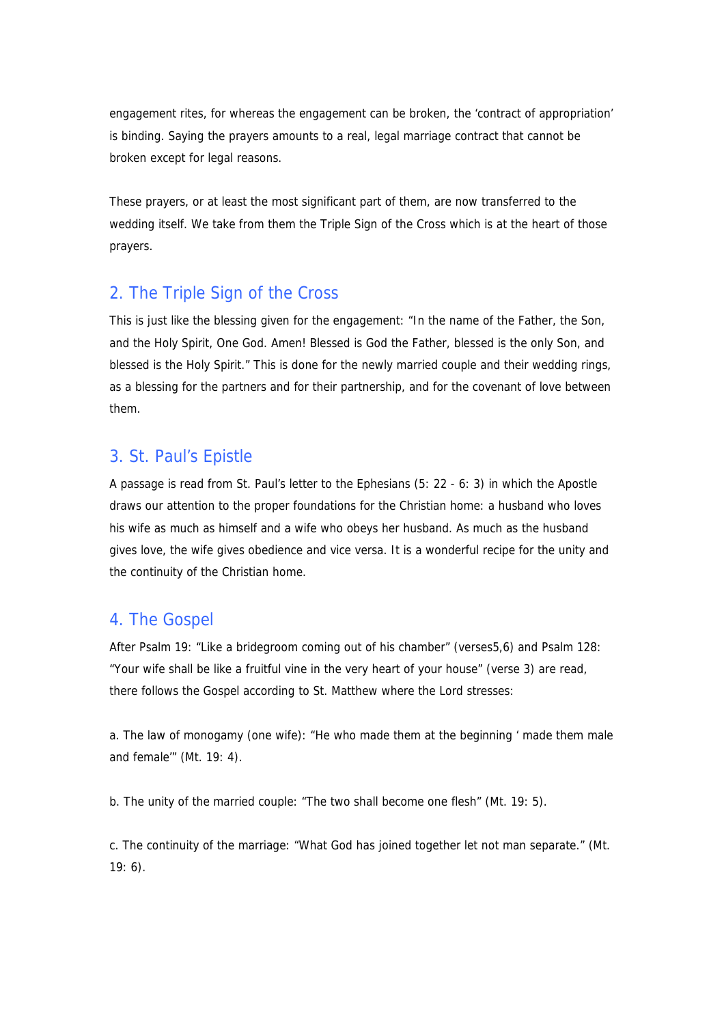engagement rites, for whereas the engagement can be broken, the 'contract of appropriation' is binding. Saying the prayers amounts to a real, legal marriage contract that cannot be broken except for legal reasons.

These prayers, or at least the most significant part of them, are now transferred to the wedding itself. We take from them the Triple Sign of the Cross which is at the heart of those prayers.

## 2. The Triple Sign of the Cross

This is just like the blessing given for the engagement: "In the name of the Father, the Son, and the Holy Spirit, One God. Amen! Blessed is God the Father, blessed is the only Son, and blessed is the Holy Spirit." This is done for the newly married couple and their wedding rings, as a blessing for the partners and for their partnership, and for the covenant of love between them.

#### 3. St. Paul's Epistle

A passage is read from St. Paul's letter to the Ephesians (5: 22 - 6: 3) in which the Apostle draws our attention to the proper foundations for the Christian home: a husband who loves his wife as much as himself and a wife who obeys her husband. As much as the husband gives love, the wife gives obedience and vice versa. It is a wonderful recipe for the unity and the continuity of the Christian home.

#### 4. The Gospel

After Psalm 19: "Like a bridegroom coming out of his chamber" (verses5,6) and Psalm 128: "Your wife shall be like a fruitful vine in the very heart of your house" (verse 3) are read, there follows the Gospel according to St. Matthew where the Lord stresses:

a. The law of monogamy (one wife): "He who made them at the beginning ' made them male and female'" (Mt. 19: 4).

b. The unity of the married couple: "The two shall become one flesh" (Mt. 19: 5).

c. The continuity of the marriage: "What God has joined together let not man separate." (Mt. 19: 6).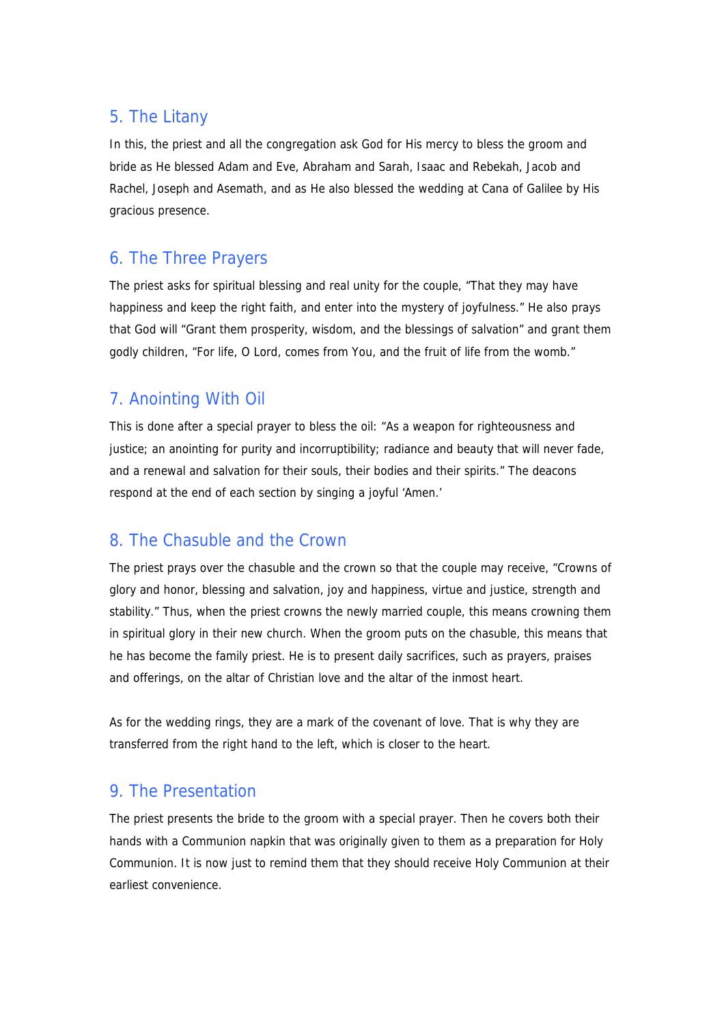## 5. The Litany

In this, the priest and all the congregation ask God for His mercy to bless the groom and bride as He blessed Adam and Eve, Abraham and Sarah, Isaac and Rebekah, Jacob and Rachel, Joseph and Asemath, and as He also blessed the wedding at Cana of Galilee by His gracious presence.

## 6. The Three Prayers

The priest asks for spiritual blessing and real unity for the couple, "That they may have happiness and keep the right faith, and enter into the mystery of joyfulness." He also prays that God will "Grant them prosperity, wisdom, and the blessings of salvation" and grant them godly children, "For life, O Lord, comes from You, and the fruit of life from the womb."

## 7. Anointing With Oil

This is done after a special prayer to bless the oil: "As a weapon for righteousness and justice; an anointing for purity and incorruptibility; radiance and beauty that will never fade, and a renewal and salvation for their souls, their bodies and their spirits." The deacons respond at the end of each section by singing a joyful 'Amen.'

## 8. The Chasuble and the Crown

The priest prays over the chasuble and the crown so that the couple may receive, "Crowns of glory and honor, blessing and salvation, joy and happiness, virtue and justice, strength and stability." Thus, when the priest crowns the newly married couple, this means crowning them in spiritual glory in their new church. When the groom puts on the chasuble, this means that he has become the family priest. He is to present daily sacrifices, such as prayers, praises and offerings, on the altar of Christian love and the altar of the inmost heart.

As for the wedding rings, they are a mark of the covenant of love. That is why they are transferred from the right hand to the left, which is closer to the heart.

#### 9. The Presentation

The priest presents the bride to the groom with a special prayer. Then he covers both their hands with a Communion napkin that was originally given to them as a preparation for Holy Communion. It is now just to remind them that they should receive Holy Communion at their earliest convenience.